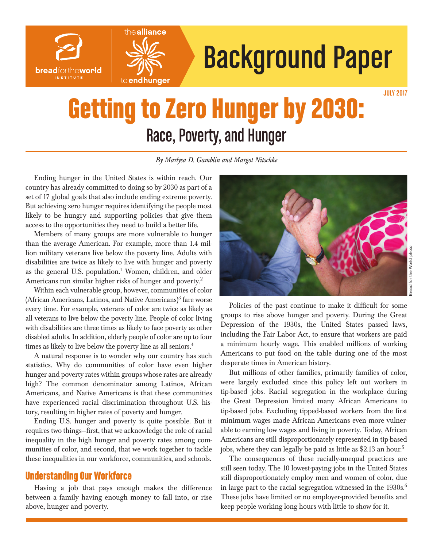



# Background Paper

# Getting to Zero Hunger by 2030: Race, Poverty, and Hunger

*By Marlysa D. Gamblin and Margot Nitschke*

Ending hunger in the United States is within reach. Our country has already committed to doing so by 2030 as part of a set of 17 global goals that also include ending extreme poverty. But achieving zero hunger requires identifying the people most likely to be hungry and supporting policies that give them access to the opportunities they need to build a better life.

Members of many groups are more vulnerable to hunger than the average American. For example, more than 1.4 million military veterans live below the poverty line. Adults with disabilities are twice as likely to live with hunger and poverty as the general U.S. population.<sup>1</sup> Women, children, and older Americans run similar higher risks of hunger and poverty.<sup>2</sup>

Within each vulnerable group, however, communities of color (African Americans, Latinos, and Native Americans) $3$  fare worse every time. For example, veterans of color are twice as likely as all veterans to live below the poverty line. People of color living with disabilities are three times as likely to face poverty as other disabled adults. In addition, elderly people of color are up to four times as likely to live below the poverty line as all seniors.<sup>4</sup>

A natural response is to wonder why our country has such statistics. Why do communities of color have even higher hunger and poverty rates within groups whose rates are already high? The common denominator among Latinos, African Americans, and Native Americans is that these communities have experienced racial discrimination throughout U.S. history, resulting in higher rates of poverty and hunger.

Ending U.S. hunger and poverty is quite possible. But it requires two things—first, that we acknowledge the role of racial inequality in the high hunger and poverty rates among communities of color, and second, that we work together to tackle these inequalities in our workforce, communities, and schools.

#### Understanding Our Workforce

Having a job that pays enough makes the difference between a family having enough money to fall into, or rise above, hunger and poverty.



Policies of the past continue to make it difficult for some groups to rise above hunger and poverty. During the Great Depression of the 1930s, the United States passed laws, including the Fair Labor Act, to ensure that workers are paid a minimum hourly wage. This enabled millions of working Americans to put food on the table during one of the most desperate times in American history.

But millions of other families, primarily families of color, were largely excluded since this policy left out workers in tip-based jobs. Racial segregation in the workplace during the Great Depression limited many African Americans to tip-based jobs. Excluding tipped-based workers from the first minimum wages made African Americans even more vulnerable to earning low wages and living in poverty. Today, African Americans are still disproportionately represented in tip-based jobs, where they can legally be paid as little as \$2.13 an hour.<sup>5</sup>

The consequences of these racially-unequal practices are still seen today. The 10 lowest-paying jobs in the United States still disproportionately employ men and women of color, due in large part to the racial segregation witnessed in the  $1930s^{6}$ . These jobs have limited or no employer-provided benefits and keep people working long hours with little to show for it.

JULY 2017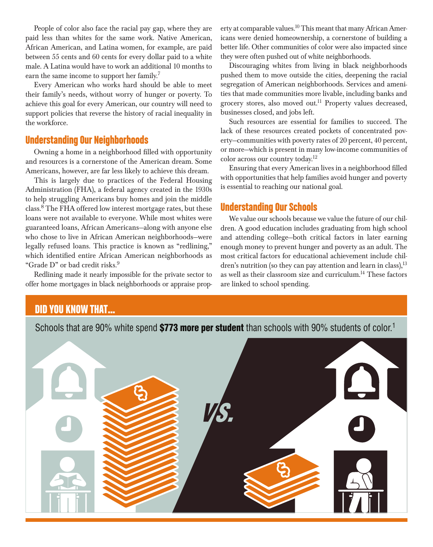People of color also face the racial pay gap, where they are paid less than whites for the same work. Native American, African American, and Latina women, for example, are paid between 55 cents and 60 cents for every dollar paid to a white male. A Latina would have to work an additional 10 months to earn the same income to support her family.<sup>7</sup>

Every American who works hard should be able to meet their family's needs, without worry of hunger or poverty. To achieve this goal for every American, our country will need to support policies that reverse the history of racial inequality in the workforce.

#### Understanding Our Neighborhoods

Owning a home in a neighborhood filled with opportunity and resources is a cornerstone of the American dream. Some Americans, however, are far less likely to achieve this dream.

This is largely due to practices of the Federal Housing Administration (FHA), a federal agency created in the 1930s to help struggling Americans buy homes and join the middle class.8 The FHA offered low interest mortgage rates, but these loans were not available to everyone. While most whites were guaranteed loans, African Americans—along with anyone else who chose to live in African American neighborhoods—were legally refused loans. This practice is known as "redlining," which identified entire African American neighborhoods as "Grade D" or bad credit risks.<sup>9</sup>

Redlining made it nearly impossible for the private sector to offer home mortgages in black neighborhoods or appraise property at comparable values.<sup>10</sup> This meant that many African Americans were denied homeownership, a cornerstone of building a better life. Other communities of color were also impacted since they were often pushed out of white neighborhoods.

Discouraging whites from living in black neighborhoods pushed them to move outside the cities, deepening the racial segregation of American neighborhoods. Services and amenities that made communities more livable, including banks and grocery stores, also moved out.<sup>11</sup> Property values decreased, businesses closed, and jobs left.

Such resources are essential for families to succeed. The lack of these resources created pockets of concentrated poverty—communities with poverty rates of 20 percent, 40 percent, or more—which is present in many low-income communities of color across our country today.12

Ensuring that every American lives in a neighborhood filled with opportunities that help families avoid hunger and poverty is essential to reaching our national goal.

#### Understanding Our Schools

We value our schools because we value the future of our children. A good education includes graduating from high school and attending college—both critical factors in later earning enough money to prevent hunger and poverty as an adult. The most critical factors for educational achievement include children's nutrition (so they can pay attention and learn in class),  $13$ as well as their classroom size and curriculum.14 These factors are linked to school spending.

## DID YOU KNOW THAT…

Schools that are 90% white spend \$773 more per student than schools with 90% students of color.<sup>1</sup>

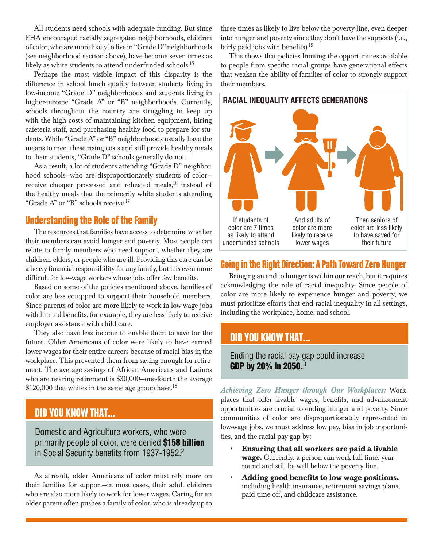All students need schools with adequate funding. But since FHA encouraged racially segregated neighborhoods, children of color, who are more likely to live in "Grade D" neighborhoods (see neighborhood section above), have become seven times as likely as white students to attend underfunded schools.15

Perhaps the most visible impact of this disparity is the difference in school lunch quality between students living in low-income "Grade D" neighborhoods and students living in higher-income "Grade A" or "B" neighborhoods. Currently, schools throughout the country are struggling to keep up with the high costs of maintaining kitchen equipment, hiring cafeteria staff, and purchasing healthy food to prepare for students. While "Grade A" or "B" neighborhoods usually have the means to meet these rising costs and still provide healthy meals to their students, "Grade D" schools generally do not.

As a result, a lot of students attending "Grade D" neighborhood schools—who are disproportionately students of color receive cheaper processed and reheated meals,<sup>16</sup> instead of the healthy meals that the primarily white students attending "Grade A" or "B" schools receive.<sup>17</sup>

#### Understanding the Role of the Family

The resources that families have access to determine whether their members can avoid hunger and poverty. Most people can relate to family members who need support, whether they are children, elders, or people who are ill. Providing this care can be a heavy financial responsibility for any family, but it is even more difficult for low-wage workers whose jobs offer few benefits.

Based on some of the policies mentioned above, families of color are less equipped to support their household members. Since parents of color are more likely to work in low-wage jobs with limited benefits, for example, they are less likely to receive employer assistance with child care.

They also have less income to enable them to save for the future. Older Americans of color were likely to have earned lower wages for their entire careers because of racial bias in the workplace. This prevented them from saving enough for retirement. The average savings of African Americans and Latinos who are nearing retirement is \$30,000—one-fourth the average \$120,000 that whites in the same age group have.<sup>18</sup>

### DID YOU KNOW THAT…

Domestic and Agriculture workers, who were primarily people of color, were denied \$158 billion in Social Security benefits from 1937-1952.2

As a result, older Americans of color must rely more on their families for support—in most cases, their adult children who are also more likely to work for lower wages. Caring for an older parent often pushes a family of color, who is already up to three times as likely to live below the poverty line, even deeper into hunger and poverty since they don't have the supports (i.e., fairly paid jobs with benefits).<sup>19</sup>

This shows that policies limiting the opportunities available to people from specific racial groups have generational effects that weaken the ability of families of color to strongly support their members.



#### Going in the Right Direction: A Path Toward Zero Hunger

Bringing an end to hunger is within our reach, but it requires acknowledging the role of racial inequality. Since people of color are more likely to experience hunger and poverty, we must prioritize efforts that end racial inequality in all settings, including the workplace, home, and school.

#### DID YOU KNOW THAT…

Ending the racial pay gap could increase GDP by 20% in 2050.<sup>3</sup>

*Achieving Zero Hunger through Our Workplaces:* Workplaces that offer livable wages, benefits, and advancement opportunities are crucial to ending hunger and poverty. Since communities of color are disproportionately represented in low-wage jobs, we must address low pay, bias in job opportunities, and the racial pay gap by:

- **• Ensuring that all workers are paid a livable wage.** Currently, a person can work full-time, yearround and still be well below the poverty line.
- **• Adding good benefits to low-wage positions,** including health insurance, retirement savings plans, paid time off, and childcare assistance.